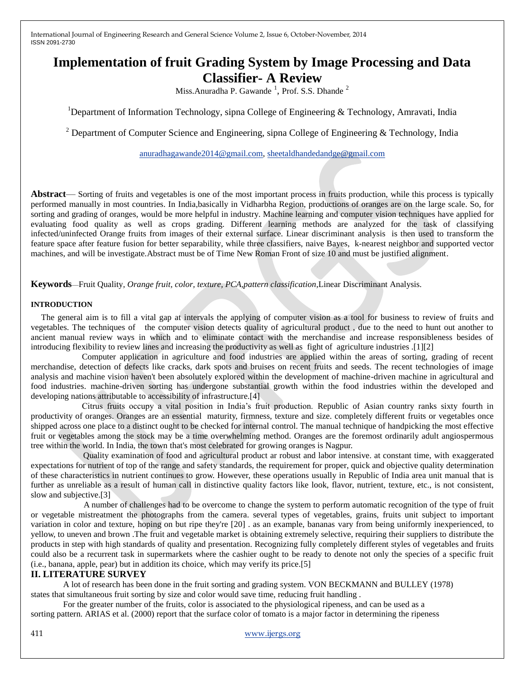International Journal of Engineering Research and General Science Volume 2, Issue 6, October-November, 2014 ISSN 2091-2730

# **Implementation of fruit Grading System by Image Processing and Data Classifier- A Review**

Miss.Anuradha P. Gawande  $\frac{1}{1}$ , Prof. S.S. Dhande  $\frac{2}{1}$ 

<sup>1</sup>Department of Information Technology, sipna College of Engineering & Technology, Amravati, India

<sup>2</sup> Department of Computer Science and Engineering, sipna College of Engineering & Technology, India

[anuradhagawande2014@gmail.com,](mailto:anuradhagawande2014@gmail.com) [sheetaldhandedandge@gmail.com](mailto:sheetaldhandedandge@gmail.com)

**Abstract**— Sorting of fruits and vegetables is one of the most important process in fruits production, while this process is typically performed manually in most countries. In India,basically in Vidharbha Region, productions of oranges are on the large scale. So, for sorting and grading of oranges, would be more helpful in industry. Machine learning and computer vision techniques have applied for evaluating food quality as well as crops grading. Different learning methods are analyzed for the task of classifying infected/uninfected Orange fruits from images of their external surface. Linear discriminant analysis is then used to transform the feature space after feature fusion for better separability, while three classifiers, naive Bayes, k-nearest neighbor and supported vector machines, and will be investigate.Abstract must be of Time New Roman Front of size 10 and must be justified alignment.

**Keywords**—Fruit Quality*, Orange fruit, color, texture, PCA,pattern classification*,Linear Discriminant Analysis.

### **INTRODUCTION**

The general aim is to fill a vital gap at intervals the applying of computer vision as a tool for business to review of fruits and vegetables. The techniques of the computer vision detects quality of agricultural product , due to the need to hunt out another to ancient manual review ways in which and to eliminate contact with the merchandise and increase responsibleness besides of introducing flexibility to review lines and increasing the productivity as well as fight of agriculture industries .[1][2]

 Computer application in agriculture and food industries are applied within the areas of sorting, grading of recent merchandise, detection of defects like cracks, dark spots and bruises on recent fruits and seeds. The recent technologies of image analysis and machine vision haven't been absolutely explored within the development of machine-driven machine in agricultural and food industries. machine-driven sorting has undergone substantial growth within the food industries within the developed and developing nations attributable to accessibility of infrastructure.[4]

 Citrus fruits occupy a vital position in India's fruit production. Republic of Asian country ranks sixty fourth in productivity of oranges. Oranges are an essential maturity, firmness, texture and size. completely different fruits or vegetables once shipped across one place to a distinct ought to be checked for internal control. The manual technique of handpicking the most effective fruit or vegetables among the stock may be a time overwhelming method. Oranges are the foremost ordinarily adult angiospermous tree within the world. In India, the town that's most celebrated for growing oranges is Nagpur.

 Quality examination of food and agricultural product ar robust and labor intensive. at constant time, with exaggerated expectations for nutrient of top of the range and safety standards, the requirement for proper, quick and objective quality determination of these characteristics in nutrient continues to grow. However, these operations usually in Republic of India area unit manual that is further as unreliable as a result of human call in distinctive quality factors like look, flavor, nutrient, texture, etc., is not consistent, slow and subjective.[3]

 A number of challenges had to be overcome to change the system to perform automatic recognition of the type of fruit or vegetable mistreatment the photographs from the camera. several types of vegetables, grains, fruits unit subject to important variation in color and texture, hoping on but ripe they're [20] . as an example, bananas vary from being uniformly inexperienced, to yellow, to uneven and brown .The fruit and vegetable market is obtaining extremely selective, requiring their suppliers to distribute the products in step with high standards of quality and presentation. Recognizing fully completely different styles of vegetables and fruits could also be a recurrent task in supermarkets where the cashier ought to be ready to denote not only the species of a specific fruit (i.e., banana, apple, pear) but in addition its choice, which may verify its price.[5]

#### **II. LITERATURE SURVEY**

 A lot of research has been done in the fruit sorting and grading system. VON BECKMANN and BULLEY (1978) states that simultaneous fruit sorting by size and color would save time, reducing fruit handling .

 For the greater number of the fruits, color is associated to the physiological ripeness, and can be used as a sorting pattern. ARIAS et al. (2000) report that the surface color of tomato is a major factor in determining the ripeness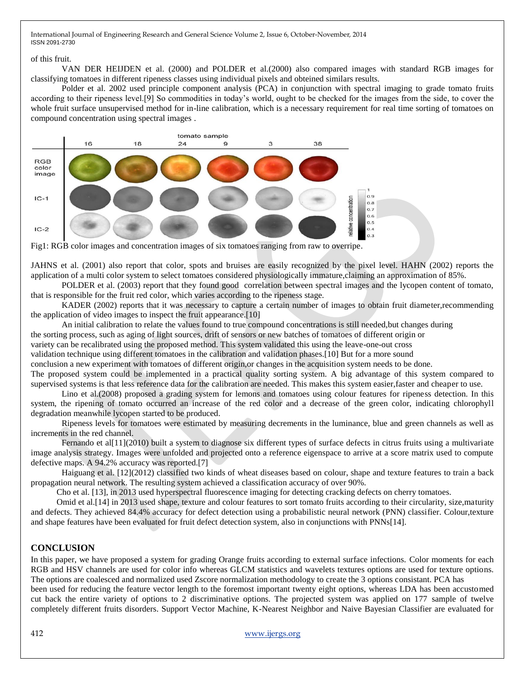International Journal of Engineering Research and General Science Volume 2, Issue 6, October-November, 2014 ISSN 2091-2730

#### of this fruit.

VAN DER HEIJDEN et al. (2000) and POLDER et al.(2000) also compared images with standard RGB images for classifying tomatoes in different ripeness classes using individual pixels and obteined similars results.

Polder et al. 2002 used principle component analysis (PCA) in conjunction with spectral imaging to grade tomato fruits according to their ripeness level.[9] So commodities in today's world, ought to be checked for the images from the side, to cover the whole fruit surface unsupervised method for in-line calibration, which is a necessary requirement for real time sorting of tomatoes on compound concentration using spectral images .



Fig1: RGB color images and concentration images of six tomatoes ranging from raw to overripe.

JAHNS et al. (2001) also report that color, spots and bruises are easily recognized by the pixel level. HAHN (2002) reports the application of a multi color system to select tomatoes considered physiologically immature,claiming an approximation of 85%.

POLDER et al. (2003) report that they found good correlation between spectral images and the lycopen content of tomato, that is responsible for the fruit red color, which varies according to the ripeness stage.

KADER (2002) reports that it was necessary to capture a certain number of images to obtain fruit diameter,recommending the application of video images to inspect the fruit appearance.[10]

An initial calibration to relate the values found to true compound concentrations is still needed,but changes during

the sorting process, such as aging of light sources, drift of sensors or new batches of tomatoes of different origin or

variety can be recalibrated using the proposed method. This system validated this using the leave-one-out cross

validation technique using different tomatoes in the calibration and validation phases.[10] But for a more sound

conclusion a new experiment with tomatoes of different origin,or changes in the acquisition system needs to be done.

The proposed system could be implemented in a practical quality sorting system. A big advantage of this system compared to supervised systems is that less reference data for the calibration are needed. This makes this system easier,faster and cheaper to use.

Lino et al.(2008) proposed a grading system for lemons and tomatoes using colour features for ripeness detection. In this system, the ripening of tomato occurred an increase of the red color and a decrease of the green color, indicating chlorophyll degradation meanwhile lycopen started to be produced.

Ripeness levels for tomatoes were estimated by measuring decrements in the luminance, blue and green channels as well as increments in the red channel.

Fernando et al[11](2010) built a system to diagnose six different types of surface defects in citrus fruits using a multivariate image analysis strategy. Images were unfolded and projected onto a reference eigenspace to arrive at a score matrix used to compute defective maps. A 94.2% accuracy was reported.[7]

Haiguang et al. [12](2012) classified two kinds of wheat diseases based on colour, shape and texture features to train a back propagation neural network. The resulting system achieved a classification accuracy of over 90%.

Cho et al. [13], in 2013 used hyperspectral fluorescence imaging for detecting cracking defects on cherry tomatoes.

 Omid et al.[14] in 2013 used shape, texture and colour features to sort tomato fruits according to their circularity, size,maturity and defects. They achieved 84.4% accuracy for defect detection using a probabilistic neural network (PNN) classifier. Colour,texture and shape features have been evaluated for fruit defect detection system, also in conjunctions with PNNs[14].

## **CONCLUSION**

In this paper, we have proposed a system for grading Orange fruits according to external surface infections. Color moments for each RGB and HSV channels are used for color info whereas GLCM statistics and wavelets textures options are used for texture options. The options are coalesced and normalized used Zscore normalization methodology to create the 3 options consistant. PCA has

been used for reducing the feature vector length to the foremost important twenty eight options, whereas LDA has been accustomed cut back the entire variety of options to 2 discriminative options. The projected system was applied on 177 sample of twelve completely different fruits disorders. Support Vector Machine, K-Nearest Neighbor and Naive Bayesian Classifier are evaluated for